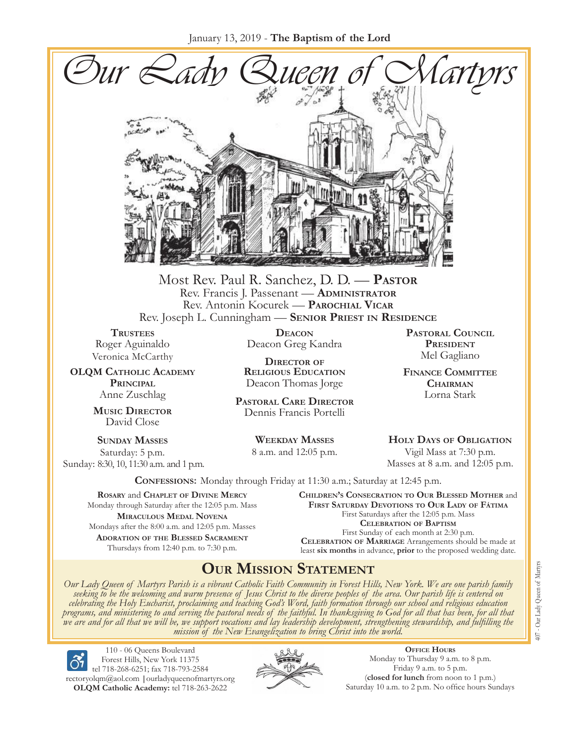January 13, 2019 - **The Baptism of the Lord**



Most Rev. Paul R. Sanchez, D. D. — **Pastor** Rev. Francis J. Passenant — **Administrator** Rev. Antonin Kocurek — **Parochial Vicar** Rev. Joseph L. Cunningham — **Senior Priest in Residence**

**TRUSTEES** Roger Aguinaldo Veronica McCarthy

**OLQM Catholic Academy Principal** Anne Zuschlag

> **Music Director** David Close

**Sunday Masses** Saturday: 5 p.m. Sunday: 8:30, 10, 11:30 a.m. and 1 p.m.

**Deacon** Deacon Greg Kandra

**Director of Religious Education** Deacon Thomas Jorge

**Pastoral Care Director** Dennis Francis Portelli

> **Weekday Masses** 8 a.m. and 12:05 p.m.

**Pastoral Council** PRESIDENT Mel Gagliano

**Finance Committee Chairman** Lorna Stark

**Holy Days of Obligation** Vigil Mass at 7:30 p.m. Masses at 8 a.m. and 12:05 p.m.

**Confessions:** Monday through Friday at 11:30 a.m.; Saturday at 12:45 p.m.

**Rosary** and **Chaplet of Divine Mercy** Monday through Saturday after the 12:05 p.m. Mass **Miraculous Medal Novena** Mondays after the 8:00 a.m. and 12:05 p.m. Masses **Adoration of the Blessed Sacrament** Thursdays from 12:40 p.m. to 7:30 p.m.

**Children's Consecration to Our Blessed Mother** and **First Saturday Devotions to Our Lady of Fátima** First Saturdays after the 12:05 p.m. Mass **Celebration of Baptism** First Sunday of each month at 2:30 p.m. **Celebration of Marriage** Arrangements should be made at least **six months** in advance, **prior** to the proposed wedding date.

## **Our Mission Statement**

Our Lady Queen of Martyrs Parish is a vibrant Catholic Faith Community in Forest Hills, New York. We are one parish family<br>seeking to be the welcoming and warm presence of Jesus Christ to the diverse peoples of the area. O *celebrating the Holy Eucharist, proclaiming and teaching God's Word, faith formation through our school and religious education*  programs, and ministering to and serving the pastoral needs of the faithful. In thanksgiving to God for all that has been, for all that<br>we are and for all that we will be, we support vocations and lay leadership developmen

110 - 06 Queens Boulevard Forest Hills, New York 11375 tel 718-268-6251; fax 718-793-2584 [rectoryolqm@aol.com](mailto:rectoryolqm@aol.com) **|**[ourladyqueenofmartyrs.org](www.ourladyqueenofmartyrs.org) **OLQM Catholic Academy:** tel 718-263-2622



**Office Hours** Monday to Thursday 9 a.m. to 8 p.m. Friday 9 a.m. to 5 p.m. (**closed for lunch** from noon to 1 p.m.) Saturday 10 a.m. to 2 p.m. No office hours Sundays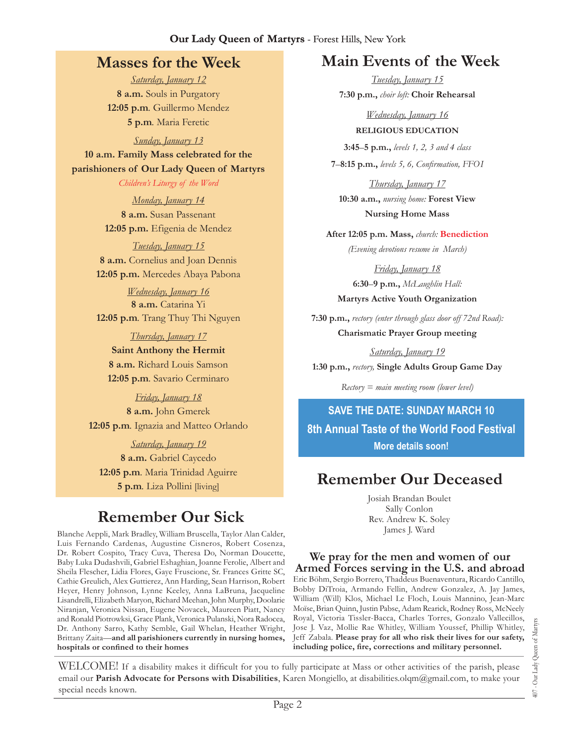#### **Our Lady Queen of Martyrs** - Forest Hills, New York

## **Masses for the Week**

*Saturday, January 12* **8 a.m.** Souls in Purgatory **12:05 p.m***.* Guillermo Mendez **5 p.m***.* Maria Feretic

*Sunday, January 13* **10 a.m. Family Mass celebrated for the parishioners of Our Lady Queen of Martyrs**

> *Children's Liturgy of the Word Monday, January 14* **8 a.m.** Susan Passenant **12:05 p.m.** Efigenia de Mendez

*Tuesday, January 15* **8 a.m.** Cornelius and Joan Dennis **12:05 p.m.** Mercedes Abaya Pabona

*Wednesday, January 16* **8 a.m.** Catarina Yi **12:05 p.m***.* Trang Thuy Thi Nguyen

*Thursday, January 17* **Saint Anthony the Hermit 8 a.m.** Richard Louis Samson **12:05 p.m***.* Savario Cerminaro

*Friday, January 18* **8 a.m.** John Gmerek **12:05 p.m***.* Ignazia and Matteo Orlando

*Saturday, January 19* **8 a.m.** Gabriel Caycedo **12:05 p.m***.* Maria Trinidad Aguirre **5 p.m***.* Liza Pollini [living]

# **Remember Our Sick**

Blanche Aeppli, Mark Bradley, William Bruscella, Taylor Alan Calder, Luis Fernando Cardenas, Augustine Cisneros, Robert Cosenza, Dr. Robert Cospito, Tracy Cuva, Theresa Do, Norman Doucette, Baby Luka Dudashvili, Gabriel Eshaghian, Joanne Ferolie, Albert and Sheila Flescher, Lidia Flores, Gaye Fruscione, Sr. Frances Gritte SC, Cathie Greulich, Alex Guttierez, Ann Harding, Sean Harrison, Robert Heyer, Henry Johnson, Lynne Keeley, Anna LaBruna, Jacqueline Lisandrelli, Elizabeth Maryon, Richard Meehan, John Murphy, Doolarie Niranjan, Veronica Nissan, Eugene Novacek, Maureen Piatt, Nancy and Ronald Piotrowksi, Grace Plank, Veronica Pulanski, Nora Radocea, Dr. Anthony Sarro, Kathy Semble, Gail Whelan, Heather Wright, Brittany Zaita—**and all parishioners currently in nursing homes, hospitals or confined to their homes**

## **Main Events of the Week**

*Tuesday, January 15* **7:30 p.m.,** *choir loft:* **Choir Rehearsal**

*Wednesday, January 16* **Religious Education 3:45**–**5 p.m.,** *levels 1, 2, 3 and 4 class*

**7**–**8:15 p.m.,** *levels 5, 6, Confirmation, FFO  I*

*Thursday, January 17* **10:30 a.m.,** *nursing home:* **Forest View Nursing Home Mass**

**After 12:05 p.m. Mass,** *church:* **Benediction** *(Evening devotions resume in March)*

*Friday, January 18* **6:30**–**9 p.m.,** *McLaughlin Hall:* **Martyrs Active Youth Organization**

**7:30 p.m.,** *rectory (enter through glass door off 72nd Road):*  **Charismatic Prayer Group meeting**

*Saturday, January 19* **1:30 p.m.,** *rectory,* **Single Adults Group Game Day**

*Rectory = main meeting room (lower level)*

**SAVE THE DATE: SUNDAY MARCH 10 8th Annual Taste of the World Food Festival More details soon!**

## **Remember Our Deceased**

Josiah Brandan Boulet Sally Conlon Rev. Andrew K. Soley James J. Ward

### **We pray for the men and women of our Armed Forces serving in the U.S. and abroad**

Eric Böhm, Sergio Borrero, Thaddeus Buenaventura, Ricardo Cantillo, Bobby DiTroia, Armando Fellin, Andrew Gonzalez, A. Jay James, William (Will) Klos, Michael Le Floch, Louis Mannino, Jean-Marc Moïse, Brian Quinn, Justin Pabse, Adam Rearick, Rodney Ross, McNeely Royal, Victoria Tissler-Bacca, Charles Torres, Gonzalo Vallecillos, Jose J. Vaz, Mollie Rae Whitley, William Youssef, Phillip Whitley, Jeff Zabala. **Please pray for all who risk their lives for our safety, including police, fire, corrections and military personnel.**

WELCOME! If a disability makes it difficult for you to fully participate at Mass or other activities of the parish, please email our **Parish Advocate for Persons with Disabilities**, Karen Mongiello, at [disabilities.olqm@gmail.com,](mailto:disabilities.olqm@gmail.com) to make your special needs known.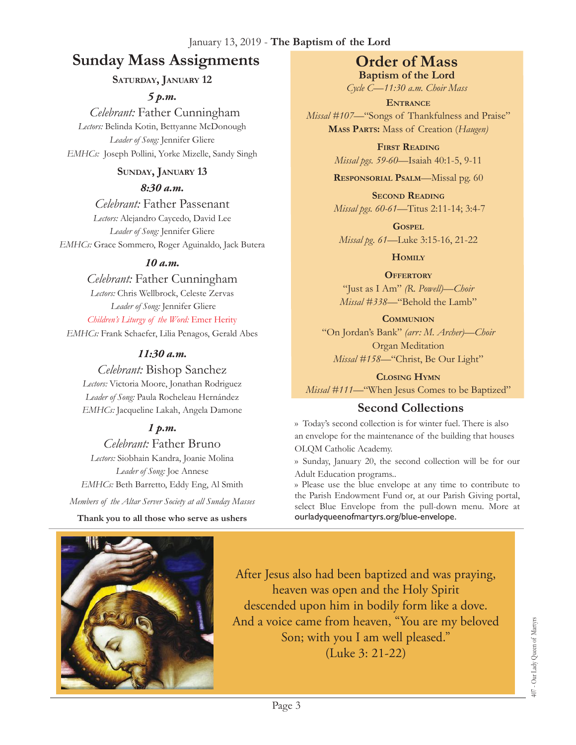#### January 13, 2019 - **The Baptism of the Lord**

## **Sunday Mass Assignments Order of Mass**

### **Saturday, January 12**

*5 p.m.* 

 *Celebrant:* Father Cunningham *Lectors:* Belinda Kotin, Bettyanne McDonough *Leader of Song:* Jennifer Gliere *EMHCs:* Joseph Pollini, Yorke Mizelle, Sandy Singh

### **Sunday, January 13**

#### *8:30 a.m.*

*Celebrant:* Father Passenant *Lectors:* Alejandro Caycedo, David Lee *Leader of Song:* Jennifer Gliere *EMHCs:* Grace Sommero, Roger Aguinaldo, Jack Butera

### *10 a.m.*

*Celebrant:* Father Cunningham *Lectors:* Chris Wellbrock, Celeste Zervas *Leader of Song:* Jennifer Gliere

*Children's Liturgy of the Word:* Emer Herity *EMHCs:* Frank Schaefer, Lilia Penagos, Gerald Abes

### *11:30 a.m.*

*Celebrant:* Bishop Sanchez *Lectors:* Victoria Moore, Jonathan Rodriguez *Leader of Song:* Paula Rocheleau Hernández *EMHCs:* Jacqueline Lakah, Angela Damone

### *1 p.m.*

## *Celebrant:* Father Bruno

*Lectors:* Siobhain Kandra, Joanie Molina *Leader of Song:* Joe Annese *EMHCs:* Beth Barretto, Eddy Eng, Al Smith

*Members of the Altar Server Society at all Sunday Masses*

#### **Thank you to all those who serve as ushers**

**Baptism of the Lord**

*Cycle C—11:30 a.m. Choir Mass*

**Entrance** *Missal* #107—"Songs of Thankfulness and Praise" **Mass Parts:** Mass of Creation (*Haugen)*

> **First Reading** *Missal pgs. 59-60—*Isaiah 40:1-5, 9-11

> **Responsorial Psalm**—Missal pg. 60

**Second Reading** *Missal pgs. 60-61—*Titus 2:11-14; 3:4-7

**Gospel** *Missal pg. 61—*Luke 3:15-16, 21-22

**Homily**

**OFFERTORY** "Just as I Am" *(R. Powell)—Choir Missal #338—*"Behold the Lamb"

**Communion** "On Jordan's Bank" *(arr: M. Archer)—Choir* Organ Meditation *Missal #158—*"Christ, Be Our Light"

**Closing Hymn**

*Missal #111*—"When Jesus Comes to be Baptized"

## **Second Collections**

›› Today's second collection is for winter fuel. There is also an envelope for the maintenance of the building that houses OLQM Catholic Academy.

›› Sunday, January 20, the second collection will be for our Adult Education programs..

» Please use the blue envelope at any time to contribute to the Parish Endowment Fund or, at our Parish Giving portal, select Blue Envelope from the pull-down menu. More at [ourladyqueenofmartyrs.org/blue-envelope](http://ourladyqueenofmartyrs.org/blue-envelope).



After Jesus also had been baptized and was praying, heaven was open and the Holy Spirit descended upon him in bodily form like a dove. And a voice came from heaven, "You are my beloved Son; with you I am well pleased." (Luke 3: 21-22)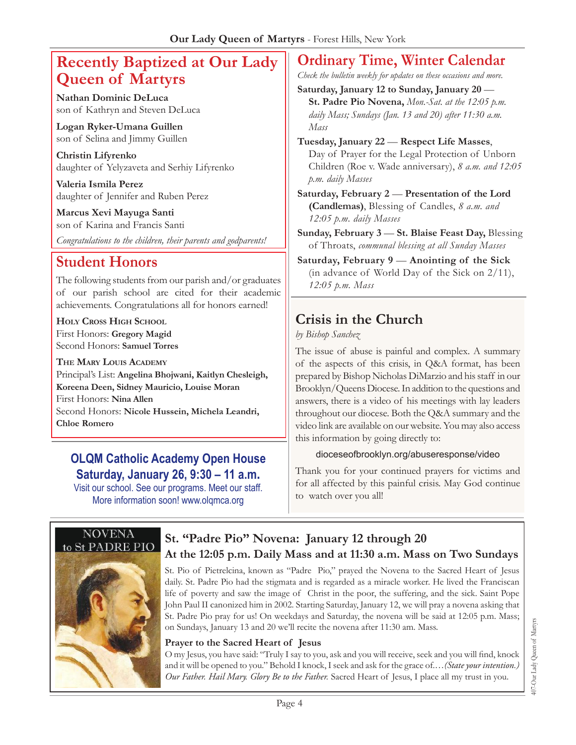## **Recently Baptized at Our Lady Queen of Martyrs**

**Nathan Dominic DeLuca** son of Kathryn and Steven DeLuca

**Logan Ryker-Umana Guillen** son of Selina and Jimmy Guillen

**Christin Lifyrenko** daughter of Yelyzaveta and Serhiy Lifyrenko

**Valeria Ismila Perez** daughter of Jennifer and Ruben Perez

**Marcus Xevi Mayuga Santi** son of Karina and Francis Santi

*Congratulations to the children, their parents and godparents!*

## **Student Honors**

The following students from our parish and/or graduates of our parish school are cited for their academic achievements. Congratulations all for honors earned!

**Holy Cross High School** First Honors: **Gregory Magid** Second Honors: **Samuel Torres**

**The Mary Louis Academy** Principal's List: **Angelina Bhojwani, Kaitlyn Chesleigh, Koreena Deen, Sidney Mauricio, Louise Moran** First Honors: **Nina Allen**  Second Honors: **Nicole Hussein, Michela Leandri, Chloe Romero**

## **OLQM Catholic Academy Open House Saturday, January 26, 9:30 – 11 a.m.**

Visit our school. See our programs. Meet our staff. More information soon!<www.olqmca.org>

## **Ordinary Time, Winter Calendar**

*Check the bulletin weekly for updates on these occasions and more.*

**Saturday, January 12 to Sunday, January 20** — **St. Padre Pio Novena,** *Mon.-Sat. at the 12:05 p.m. daily Mass; Sundays (Jan. 13 and 20) after 11:30 a.m. Mass*

**Tuesday, January 22** — **Respect Life Masses**, Day of Prayer for the Legal Protection of Unborn Children (Roe v. Wade anniversary), *8 a.m. and 12:05 p.m. daily Masses*

**Saturday, February 2** — **Presentation of the Lord (Candlemas)**, Blessing of Candles, *8 a.m. and 12:05 p.m. daily Masses*

**Sunday, February 3** — **St. Blaise Feast Day,** Blessing of Throats, *communal blessing at all Sunday Masses*

**Saturday, February 9** — **Anointing of the Sick**  (in advance of World Day of the Sick on 2/11), *12:05 p.m. Mass*

## **Crisis in the Church**

*by Bishop Sanchez*

The issue of abuse is painful and complex. A summary of the aspects of this crisis, in Q&A format, has been prepared by Bishop Nicholas DiMarzio and his staff in our Brooklyn/Queens Diocese. In addition to the questions and answers, there is a video of his meetings with lay leaders throughout our diocese. Both the Q&A summary and the video link are available on our website. You may also access this information by going directly to:

### [dioceseofbrooklyn.org/abuseresponse/video](https://vimeo.com/302949127/164d69b45d)

Thank you for your continued prayers for victims and for all affected by this painful crisis. May God continue to watch over you all!



## **St. "Padre Pio" Novena: January 12 through 20 At the 12:05 p.m. Daily Mass and at 11:30 a.m. Mass on Two Sundays**

St. Pio of Pietrelcina, known as "Padre Pio," prayed the Novena to the Sacred Heart of Jesus daily. St. Padre Pio had the stigmata and is regarded as a miracle worker. He lived the Franciscan life of poverty and saw the image of Christ in the poor, the suffering, and the sick. Saint Pope John Paul II canonized him in 2002. Starting Saturday, January 12, we will pray a novena asking that St. Padre Pio pray for us! On weekdays and Saturday, the novena will be said at 12:05 p.m. Mass; on Sundays, January 13 and 20 we'll recite the novena after 11:30 am. Mass.

### **Prayer to the Sacred Heart of Jesus**

O my Jesus, you have said: "Truly I say to you, ask and you will receive, seek and you will find, knock and it will be opened to you." Behold I knock, I seek and ask for the grace of.…*(State your intention.) Our Father. Hail Mary. Glory Be to the Father.* Sacred Heart of Jesus, I place all my trust in you.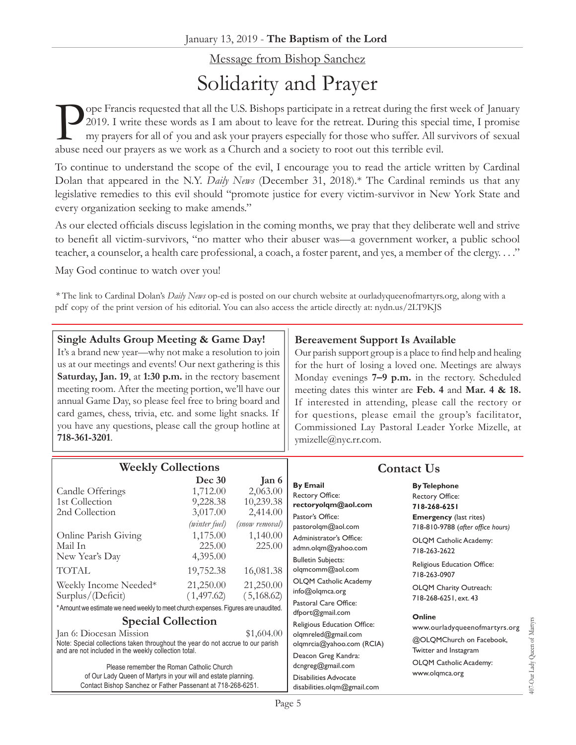# Message from Bishop Sanchez Solidarity and Prayer

Ope Francis requested that all the U.S. Bishops participate in a retreat during the first week of January 2019. I write these words as I am about to leave for the retreat. During this special time, I promise my prayers for 2019. I write these words as I am about to leave for the retreat. During this special time, I promise my prayers for all of you and ask your prayers especially for those who suffer. All survivors of sexual abuse need our prayers as we work as a Church and a society to root out this terrible evil.

To continue to understand the scope of the evil, I encourage you to read the article written by Cardinal Dolan that appeared in the N.Y. *Daily News* (December 31, 2018).\* The Cardinal reminds us that any legislative remedies to this evil should "promote justice for every victim-survivor in New York State and every organization seeking to make amends."

As our elected officials discuss legislation in the coming months, we pray that they deliberate well and strive to benefit all victim-survivors, "no matter who their abuser was—a government worker, a public school teacher, a counselor, a health care professional, a coach, a foster parent, and yes, a member of the clergy. . . ."

May God continue to watch over you!

*\** The link to Cardinal Dolan's *Daily News* op-ed is posted on our church website at [ourladyqueenofmartyrs.org,](ourladyqueenofmartyrs.org) along with a pdf copy of the print version of his editorial. You can also access the article directly at: [nydn.us/2LT9KJS](https://nydn.us/2LT9KJS)

| Single Adults Group Meeting & Game Day!                   | Ber   |
|-----------------------------------------------------------|-------|
| It's a brand new year—why not make a resolution to join   | Our   |
| us at our meetings and events! Our next gathering is this | for t |
| Saturday, Jan. 19, at 1:30 p.m. in the rectory basement   | Mon   |
| meeting room. After the meeting portion, we'll have our   | meet  |
| annual Game Day, so please feel free to bring board and   | If it |
| card games, chess, trivia, etc. and some light snacks. If | for   |
| you have any questions, please call the group hotline at  | Com   |
| 718-361-3201.                                             | vmiz  |
|                                                           |       |

### **Bereavement Support Is Available**

parish support group is a place to find help and healing the hurt of losing a loved one. Meetings are always day evenings **7–9 p.m.** in the rectory. Scheduled ting dates this winter are Feb. 4 and Mar. 4 & 18. iterested in attending, please call the rectory or questions, please email the group's facilitator, Imissioned Lay Pastoral Leader Yorke Mizelle, at [ymizelle@nyc.rr.com](mailto:ymizelle@nyc.rr.com).

| <b>Weekly Collections</b>                                                                                                                                                                                                                                                                                                                                                                   |                                                             |                                                                     | <b>Contact Us</b>                                                                                                                                                                          |                                                                                                                                     |  |
|---------------------------------------------------------------------------------------------------------------------------------------------------------------------------------------------------------------------------------------------------------------------------------------------------------------------------------------------------------------------------------------------|-------------------------------------------------------------|---------------------------------------------------------------------|--------------------------------------------------------------------------------------------------------------------------------------------------------------------------------------------|-------------------------------------------------------------------------------------------------------------------------------------|--|
| Candle Offerings<br>1st Collection<br>2nd Collection                                                                                                                                                                                                                                                                                                                                        | Dec 30<br>1,712.00<br>9,228.38<br>3,017.00<br>(winter fuel) | Jan 6<br>2,063.00<br>10,239.38<br>2,414.00<br><i>(snow removal)</i> | <b>By Email</b><br><b>Rectory Office:</b><br>rectoryolgm@aol.com<br>Pastor's Office:<br>pastorolgm@aol.com                                                                                 | <b>By Telephone</b><br><b>Rectory Office:</b><br>718-268-6251<br><b>Emergency</b> (last rites)<br>718-810-9788 (after office hours) |  |
| Online Parish Giving<br>Mail In                                                                                                                                                                                                                                                                                                                                                             | 1,175.00<br>225.00                                          | 1,140.00<br>225.00                                                  | Administrator's Office:<br>admn.olqm@yahoo.com                                                                                                                                             | OLQM Catholic Academy:<br>718-263-2622                                                                                              |  |
| New Year's Day<br><b>TOTAL</b>                                                                                                                                                                                                                                                                                                                                                              | 4,395.00<br>19,752.38                                       | 16,081.38                                                           | <b>Bulletin Subjects:</b><br>olgmcomm@aol.com                                                                                                                                              | Religious Education Office:<br>718-263-0907                                                                                         |  |
| Weekly Income Needed*<br>Surplus/(Deficit)                                                                                                                                                                                                                                                                                                                                                  | 21,250.00<br>(1,497.62)                                     | 21,250.00<br>(5,168.62)                                             | <b>OLQM Catholic Academy</b><br>info@olqmca.org<br>Pastoral Care Office:                                                                                                                   | OLQM Charity Outreach:<br>718-268-6251, ext. 43                                                                                     |  |
| * Amount we estimate we need weekly to meet church expenses. Figures are unaudited.                                                                                                                                                                                                                                                                                                         |                                                             |                                                                     | dfport@gmail.com                                                                                                                                                                           | Online                                                                                                                              |  |
| <b>Special Collection</b><br>Jan 6: Diocesan Mission<br>\$1,604.00<br>Note: Special collections taken throughout the year do not accrue to our parish<br>and are not included in the weekly collection total.<br>Please remember the Roman Catholic Church<br>of Our Lady Queen of Martyrs in your will and estate planning.<br>Contact Bishop Sanchez or Father Passenant at 718-268-6251. |                                                             |                                                                     | Religious Education Office:<br>olgmreled@gmail.com<br>olgmrcia@yahoo.com (RCIA)<br>Deacon Greg Kandra:<br>dcngreg@gmail.com<br><b>Disabilities Advocate</b><br>disabilities.olgm@gmail.com | www.ourladyqueenofmartyrs.org<br>@OLQMChurch on Facebook,<br>Twitter and Instagram<br>OLQM Catholic Academy:<br>www.olqmca.org      |  |